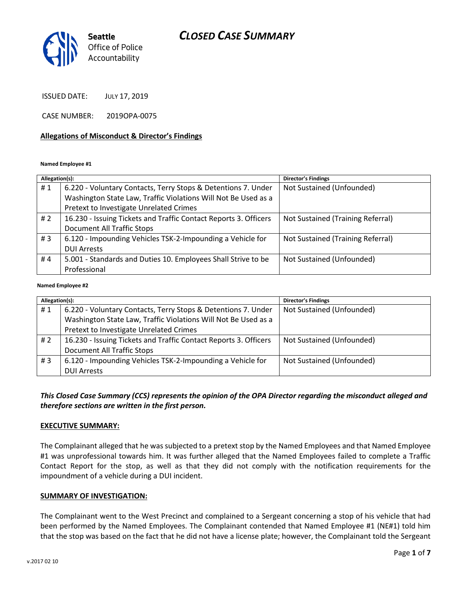# *CLOSED CASE SUMMARY*



ISSUED DATE: JULY 17, 2019

CASE NUMBER: 2019OPA-0075

### **Allegations of Misconduct & Director's Findings**

#### **Named Employee #1**

| Allegation(s): |                                                                  | Director's Findings               |
|----------------|------------------------------------------------------------------|-----------------------------------|
| #1             | 6.220 - Voluntary Contacts, Terry Stops & Detentions 7. Under    | Not Sustained (Unfounded)         |
|                | Washington State Law, Traffic Violations Will Not Be Used as a   |                                   |
|                | Pretext to Investigate Unrelated Crimes                          |                                   |
| #2             | 16.230 - Issuing Tickets and Traffic Contact Reports 3. Officers | Not Sustained (Training Referral) |
|                | <b>Document All Traffic Stops</b>                                |                                   |
| #3             | 6.120 - Impounding Vehicles TSK-2-Impounding a Vehicle for       | Not Sustained (Training Referral) |
|                | <b>DUI Arrests</b>                                               |                                   |
| #4             | 5.001 - Standards and Duties 10. Employees Shall Strive to be    | Not Sustained (Unfounded)         |
|                | Professional                                                     |                                   |

#### ؚ<br>ا **Named Employee #2**

| Allegation(s): |                                                                  | <b>Director's Findings</b> |
|----------------|------------------------------------------------------------------|----------------------------|
| #1             | 6.220 - Voluntary Contacts, Terry Stops & Detentions 7. Under    | Not Sustained (Unfounded)  |
|                | Washington State Law, Traffic Violations Will Not Be Used as a   |                            |
|                | Pretext to Investigate Unrelated Crimes                          |                            |
| # 2            | 16.230 - Issuing Tickets and Traffic Contact Reports 3. Officers | Not Sustained (Unfounded)  |
|                | <b>Document All Traffic Stops</b>                                |                            |
| #3             | 6.120 - Impounding Vehicles TSK-2-Impounding a Vehicle for       | Not Sustained (Unfounded)  |
|                | <b>DUI Arrests</b>                                               |                            |

## *This Closed Case Summary (CCS) represents the opinion of the OPA Director regarding the misconduct alleged and therefore sections are written in the first person.*

### **EXECUTIVE SUMMARY:**

The Complainant alleged that he was subjected to a pretext stop by the Named Employees and that Named Employee #1 was unprofessional towards him. It was further alleged that the Named Employees failed to complete a Traffic Contact Report for the stop, as well as that they did not comply with the notification requirements for the impoundment of a vehicle during a DUI incident.

### **SUMMARY OF INVESTIGATION:**

The Complainant went to the West Precinct and complained to a Sergeant concerning a stop of his vehicle that had been performed by the Named Employees. The Complainant contended that Named Employee #1 (NE#1) told him that the stop was based on the fact that he did not have a license plate; however, the Complainant told the Sergeant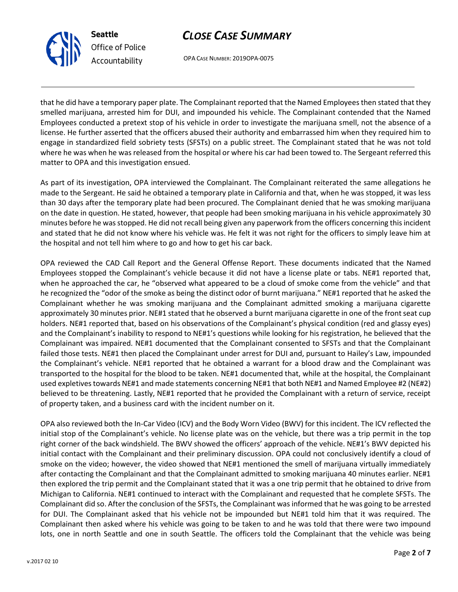



OPA CASE NUMBER: 2019OPA-0075

that he did have a temporary paper plate. The Complainant reported that the Named Employees then stated that they smelled marijuana, arrested him for DUI, and impounded his vehicle. The Complainant contended that the Named Employees conducted a pretext stop of his vehicle in order to investigate the marijuana smell, not the absence of a license. He further asserted that the officers abused their authority and embarrassed him when they required him to engage in standardized field sobriety tests (SFSTs) on a public street. The Complainant stated that he was not told where he was when he was released from the hospital or where his car had been towed to. The Sergeant referred this matter to OPA and this investigation ensued.

As part of its investigation, OPA interviewed the Complainant. The Complainant reiterated the same allegations he made to the Sergeant. He said he obtained a temporary plate in California and that, when he was stopped, it was less than 30 days after the temporary plate had been procured. The Complainant denied that he was smoking marijuana on the date in question. He stated, however, that people had been smoking marijuana in his vehicle approximately 30 minutes before he was stopped. He did not recall being given any paperwork from the officers concerning this incident and stated that he did not know where his vehicle was. He felt it was not right for the officers to simply leave him at the hospital and not tell him where to go and how to get his car back.

OPA reviewed the CAD Call Report and the General Offense Report. These documents indicated that the Named Employees stopped the Complainant's vehicle because it did not have a license plate or tabs. NE#1 reported that, when he approached the car, he "observed what appeared to be a cloud of smoke come from the vehicle" and that he recognized the "odor of the smoke as being the distinct odor of burnt marijuana." NE#1 reported that he asked the Complainant whether he was smoking marijuana and the Complainant admitted smoking a marijuana cigarette approximately 30 minutes prior. NE#1 stated that he observed a burnt marijuana cigarette in one of the front seat cup holders. NE#1 reported that, based on his observations of the Complainant's physical condition (red and glassy eyes) and the Complainant's inability to respond to NE#1's questions while looking for his registration, he believed that the Complainant was impaired. NE#1 documented that the Complainant consented to SFSTs and that the Complainant failed those tests. NE#1 then placed the Complainant under arrest for DUI and, pursuant to Hailey's Law, impounded the Complainant's vehicle. NE#1 reported that he obtained a warrant for a blood draw and the Complainant was transported to the hospital for the blood to be taken. NE#1 documented that, while at the hospital, the Complainant used expletives towards NE#1 and made statements concerning NE#1 that both NE#1 and Named Employee #2 (NE#2) believed to be threatening. Lastly, NE#1 reported that he provided the Complainant with a return of service, receipt of property taken, and a business card with the incident number on it.

OPA also reviewed both the In-Car Video (ICV) and the Body Worn Video (BWV) for this incident. The ICV reflected the initial stop of the Complainant's vehicle. No license plate was on the vehicle, but there was a trip permit in the top right corner of the back windshield. The BWV showed the officers' approach of the vehicle. NE#1's BWV depicted his initial contact with the Complainant and their preliminary discussion. OPA could not conclusively identify a cloud of smoke on the video; however, the video showed that NE#1 mentioned the smell of marijuana virtually immediately after contacting the Complainant and that the Complainant admitted to smoking marijuana 40 minutes earlier. NE#1 then explored the trip permit and the Complainant stated that it was a one trip permit that he obtained to drive from Michigan to California. NE#1 continued to interact with the Complainant and requested that he complete SFSTs. The Complainant did so. After the conclusion of the SFSTs, the Complainant was informed that he was going to be arrested for DUI. The Complainant asked that his vehicle not be impounded but NE#1 told him that it was required. The Complainant then asked where his vehicle was going to be taken to and he was told that there were two impound lots, one in north Seattle and one in south Seattle. The officers told the Complainant that the vehicle was being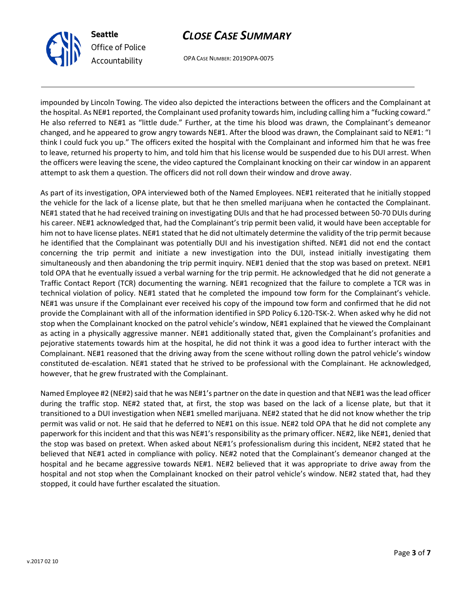



OPA CASE NUMBER: 2019OPA-0075

impounded by Lincoln Towing. The video also depicted the interactions between the officers and the Complainant at the hospital. As NE#1 reported, the Complainant used profanity towards him, including calling him a "fucking coward." He also referred to NE#1 as "little dude." Further, at the time his blood was drawn, the Complainant's demeanor changed, and he appeared to grow angry towards NE#1. After the blood was drawn, the Complainant said to NE#1: "I think I could fuck you up." The officers exited the hospital with the Complainant and informed him that he was free to leave, returned his property to him, and told him that his license would be suspended due to his DUI arrest. When the officers were leaving the scene, the video captured the Complainant knocking on their car window in an apparent attempt to ask them a question. The officers did not roll down their window and drove away.

As part of its investigation, OPA interviewed both of the Named Employees. NE#1 reiterated that he initially stopped the vehicle for the lack of a license plate, but that he then smelled marijuana when he contacted the Complainant. NE#1 stated that he had received training on investigating DUIs and that he had processed between 50-70 DUIs during his career. NE#1 acknowledged that, had the Complainant's trip permit been valid, it would have been acceptable for him not to have license plates. NE#1 stated that he did not ultimately determine the validity of the trip permit because he identified that the Complainant was potentially DUI and his investigation shifted. NE#1 did not end the contact concerning the trip permit and initiate a new investigation into the DUI, instead initially investigating them simultaneously and then abandoning the trip permit inquiry. NE#1 denied that the stop was based on pretext. NE#1 told OPA that he eventually issued a verbal warning for the trip permit. He acknowledged that he did not generate a Traffic Contact Report (TCR) documenting the warning. NE#1 recognized that the failure to complete a TCR was in technical violation of policy. NE#1 stated that he completed the impound tow form for the Complainant's vehicle. NE#1 was unsure if the Complainant ever received his copy of the impound tow form and confirmed that he did not provide the Complainant with all of the information identified in SPD Policy 6.120-TSK-2. When asked why he did not stop when the Complainant knocked on the patrol vehicle's window, NE#1 explained that he viewed the Complainant as acting in a physically aggressive manner. NE#1 additionally stated that, given the Complainant's profanities and pejorative statements towards him at the hospital, he did not think it was a good idea to further interact with the Complainant. NE#1 reasoned that the driving away from the scene without rolling down the patrol vehicle's window constituted de-escalation. NE#1 stated that he strived to be professional with the Complainant. He acknowledged, however, that he grew frustrated with the Complainant.

Named Employee #2 (NE#2) said that he was NE#1's partner on the date in question and that NE#1 was the lead officer during the traffic stop. NE#2 stated that, at first, the stop was based on the lack of a license plate, but that it transitioned to a DUI investigation when NE#1 smelled marijuana. NE#2 stated that he did not know whether the trip permit was valid or not. He said that he deferred to NE#1 on this issue. NE#2 told OPA that he did not complete any paperwork for this incident and that this was NE#1's responsibility as the primary officer. NE#2, like NE#1, denied that the stop was based on pretext. When asked about NE#1's professionalism during this incident, NE#2 stated that he believed that NE#1 acted in compliance with policy. NE#2 noted that the Complainant's demeanor changed at the hospital and he became aggressive towards NE#1. NE#2 believed that it was appropriate to drive away from the hospital and not stop when the Complainant knocked on their patrol vehicle's window. NE#2 stated that, had they stopped, it could have further escalated the situation.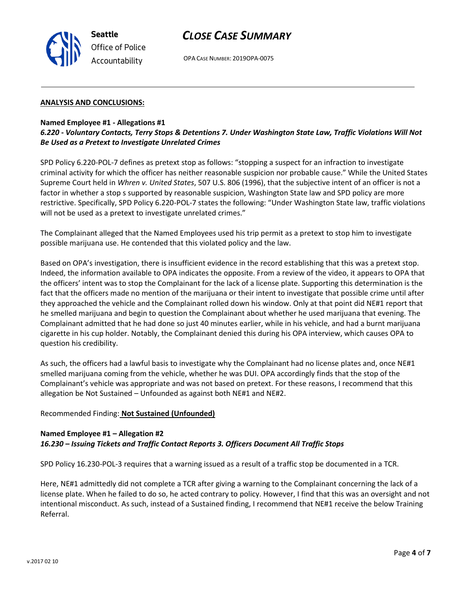

### **ANALYSIS AND CONCLUSIONS:**

#### **Named Employee #1 - Allegations #1**

**Seattle**

*Office of Police Accountability*

## *6.220 - Voluntary Contacts, Terry Stops & Detentions 7. Under Washington State Law, Traffic Violations Will Not Be Used as a Pretext to Investigate Unrelated Crimes*

SPD Policy 6.220-POL-7 defines as pretext stop as follows: "stopping a suspect for an infraction to investigate criminal activity for which the officer has neither reasonable suspicion nor probable cause." While the United States Supreme Court held in *Whren v. United States*, 507 U.S. 806 (1996), that the subjective intent of an officer is not a factor in whether a stop s supported by reasonable suspicion, Washington State law and SPD policy are more restrictive. Specifically, SPD Policy 6.220-POL-7 states the following: "Under Washington State law, traffic violations will not be used as a pretext to investigate unrelated crimes."

The Complainant alleged that the Named Employees used his trip permit as a pretext to stop him to investigate possible marijuana use. He contended that this violated policy and the law.

Based on OPA's investigation, there is insufficient evidence in the record establishing that this was a pretext stop. Indeed, the information available to OPA indicates the opposite. From a review of the video, it appears to OPA that the officers' intent was to stop the Complainant for the lack of a license plate. Supporting this determination is the fact that the officers made no mention of the marijuana or their intent to investigate that possible crime until after they approached the vehicle and the Complainant rolled down his window. Only at that point did NE#1 report that he smelled marijuana and begin to question the Complainant about whether he used marijuana that evening. The Complainant admitted that he had done so just 40 minutes earlier, while in his vehicle, and had a burnt marijuana cigarette in his cup holder. Notably, the Complainant denied this during his OPA interview, which causes OPA to question his credibility.

As such, the officers had a lawful basis to investigate why the Complainant had no license plates and, once NE#1 smelled marijuana coming from the vehicle, whether he was DUI. OPA accordingly finds that the stop of the Complainant's vehicle was appropriate and was not based on pretext. For these reasons, I recommend that this allegation be Not Sustained – Unfounded as against both NE#1 and NE#2.

#### Recommended Finding: **Not Sustained (Unfounded)**

### **Named Employee #1 – Allegation #2** *16.230 – Issuing Tickets and Traffic Contact Reports 3. Officers Document All Traffic Stops*

SPD Policy 16.230-POL-3 requires that a warning issued as a result of a traffic stop be documented in a TCR.

Here, NE#1 admittedly did not complete a TCR after giving a warning to the Complainant concerning the lack of a license plate. When he failed to do so, he acted contrary to policy. However, I find that this was an oversight and not intentional misconduct. As such, instead of a Sustained finding, I recommend that NE#1 receive the below Training Referral.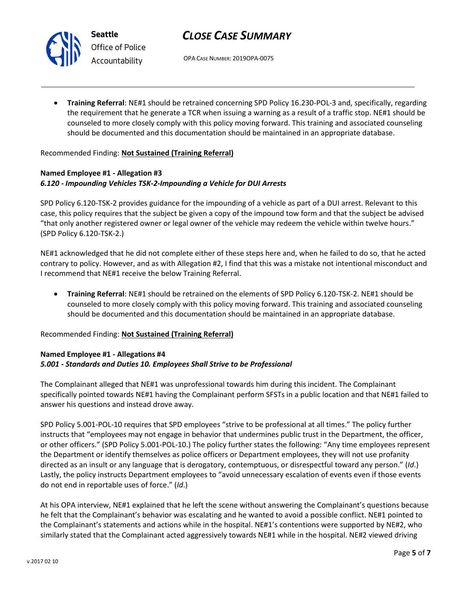# *CLOSE CASE SUMMARY*

OPA CASE NUMBER: 2019OPA-0075

• **Training Referral**: NE#1 should be retrained concerning SPD Policy 16.230-POL-3 and, specifically, regarding the requirement that he generate a TCR when issuing a warning as a result of a traffic stop. NE#1 should be counseled to more closely comply with this policy moving forward. This training and associated counseling should be documented and this documentation should be maintained in an appropriate database.

## Recommended Finding: **Not Sustained (Training Referral)**

## **Named Employee #1 - Allegation #3** *6.120 - Impounding Vehicles TSK-2-Impounding a Vehicle for DUI Arrests*

SPD Policy 6.120-TSK-2 provides guidance for the impounding of a vehicle as part of a DUI arrest. Relevant to this case, this policy requires that the subject be given a copy of the impound tow form and that the subject be advised "that only another registered owner or legal owner of the vehicle may redeem the vehicle within twelve hours." (SPD Policy 6.120-TSK-2.)

NE#1 acknowledged that he did not complete either of these steps here and, when he failed to do so, that he acted contrary to policy. However, and as with Allegation #2, I find that this was a mistake not intentional misconduct and I recommend that NE#1 receive the below Training Referral.

• **Training Referral**: NE#1 should be retrained on the elements of SPD Policy 6.120-TSK-2. NE#1 should be counseled to more closely comply with this policy moving forward. This training and associated counseling should be documented and this documentation should be maintained in an appropriate database.

Recommended Finding: **Not Sustained (Training Referral)**

## **Named Employee #1 - Allegations #4** *5.001 - Standards and Duties 10. Employees Shall Strive to be Professional*

The Complainant alleged that NE#1 was unprofessional towards him during this incident. The Complainant specifically pointed towards NE#1 having the Complainant perform SFSTs in a public location and that NE#1 failed to answer his questions and instead drove away.

SPD Policy 5.001-POL-10 requires that SPD employees "strive to be professional at all times." The policy further instructs that "employees may not engage in behavior that undermines public trust in the Department, the officer, or other officers." (SPD Policy 5.001-POL-10.) The policy further states the following: "Any time employees represent the Department or identify themselves as police officers or Department employees, they will not use profanity directed as an insult or any language that is derogatory, contemptuous, or disrespectful toward any person." (*Id*.) Lastly, the policy instructs Department employees to "avoid unnecessary escalation of events even if those events do not end in reportable uses of force." (*Id*.)

At his OPA interview, NE#1 explained that he left the scene without answering the Complainant's questions because he felt that the Complainant's behavior was escalating and he wanted to avoid a possible conflict. NE#1 pointed to the Complainant's statements and actions while in the hospital. NE#1's contentions were supported by NE#2, who similarly stated that the Complainant acted aggressively towards NE#1 while in the hospital. NE#2 viewed driving



**Seattle** *Office of Police Accountability*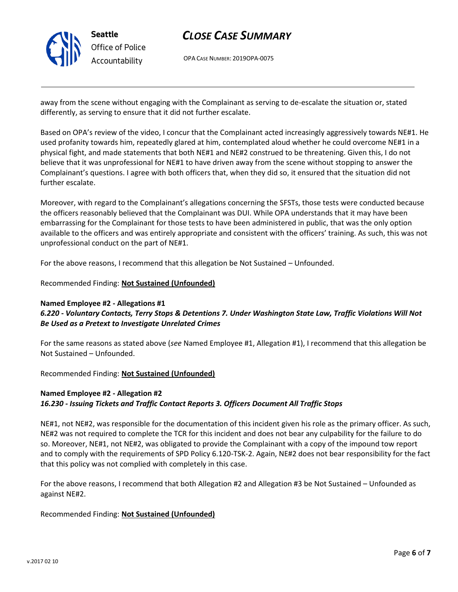

# *CLOSE CASE SUMMARY*

OPA CASE NUMBER: 2019OPA-0075

away from the scene without engaging with the Complainant as serving to de-escalate the situation or, stated differently, as serving to ensure that it did not further escalate.

Based on OPA's review of the video, I concur that the Complainant acted increasingly aggressively towards NE#1. He used profanity towards him, repeatedly glared at him, contemplated aloud whether he could overcome NE#1 in a physical fight, and made statements that both NE#1 and NE#2 construed to be threatening. Given this, I do not believe that it was unprofessional for NE#1 to have driven away from the scene without stopping to answer the Complainant's questions. I agree with both officers that, when they did so, it ensured that the situation did not further escalate.

Moreover, with regard to the Complainant's allegations concerning the SFSTs, those tests were conducted because the officers reasonably believed that the Complainant was DUI. While OPA understands that it may have been embarrassing for the Complainant for those tests to have been administered in public, that was the only option available to the officers and was entirely appropriate and consistent with the officers' training. As such, this was not unprofessional conduct on the part of NE#1.

For the above reasons, I recommend that this allegation be Not Sustained – Unfounded.

Recommended Finding: **Not Sustained (Unfounded)**

# **Named Employee #2 - Allegations #1**

## *6.220 - Voluntary Contacts, Terry Stops & Detentions 7. Under Washington State Law, Traffic Violations Will Not Be Used as a Pretext to Investigate Unrelated Crimes*

For the same reasons as stated above (*see* Named Employee #1, Allegation #1), I recommend that this allegation be Not Sustained – Unfounded.

Recommended Finding: **Not Sustained (Unfounded)**

# **Named Employee #2 - Allegation #2** *16.230 - Issuing Tickets and Traffic Contact Reports 3. Officers Document All Traffic Stops*

NE#1, not NE#2, was responsible for the documentation of this incident given his role as the primary officer. As such, NE#2 was not required to complete the TCR for this incident and does not bear any culpability for the failure to do so. Moreover, NE#1, not NE#2, was obligated to provide the Complainant with a copy of the impound tow report and to comply with the requirements of SPD Policy 6.120-TSK-2. Again, NE#2 does not bear responsibility for the fact that this policy was not complied with completely in this case.

For the above reasons, I recommend that both Allegation #2 and Allegation #3 be Not Sustained – Unfounded as against NE#2.

## Recommended Finding: **Not Sustained (Unfounded)**